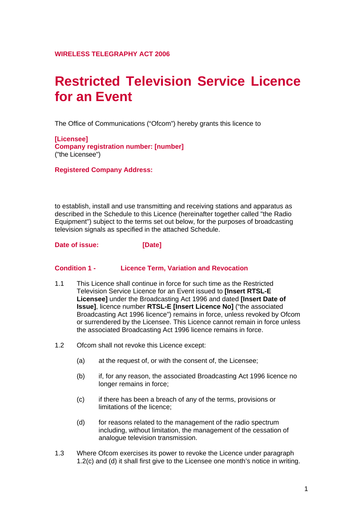# **Restricted Television Service Licence for an Event**

The Office of Communications ("Ofcom") hereby grants this licence to

**[Licensee] Company registration number: [number]**  ("the Licensee")

**Registered Company Address:** 

to establish, install and use transmitting and receiving stations and apparatus as described in the Schedule to this Licence (hereinafter together called "the Radio Equipment") subject to the terms set out below, for the purposes of broadcasting television signals as specified in the attached Schedule.

**Date of issue: [Date]** 

#### **Condition 1 - Licence Term, Variation and Revocation**

- 1.1 This Licence shall continue in force for such time as the Restricted Television Service Licence for an Event issued to **[Insert RTSL-E Licensee]** under the Broadcasting Act 1996 and dated **[Insert Date of Issue]**, licence number **RTSL-E [Insert Licence No]** ("the associated Broadcasting Act 1996 licence") remains in force, unless revoked by Ofcom or surrendered by the Licensee. This Licence cannot remain in force unless the associated Broadcasting Act 1996 licence remains in force.
- 1.2 Ofcom shall not revoke this Licence except:
	- (a) at the request of, or with the consent of, the Licensee;
	- (b) if, for any reason, the associated Broadcasting Act 1996 licence no longer remains in force;
	- (c) if there has been a breach of any of the terms, provisions or limitations of the licence;
	- (d) for reasons related to the management of the radio spectrum including, without limitation, the management of the cessation of analogue television transmission.
- 1.3 Where Ofcom exercises its power to revoke the Licence under paragraph 1.2(c) and (d) it shall first give to the Licensee one month's notice in writing.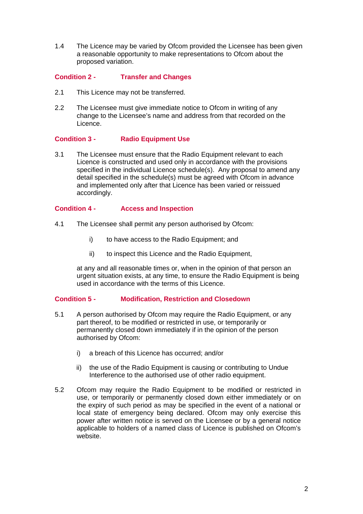1.4 The Licence may be varied by Ofcom provided the Licensee has been given a reasonable opportunity to make representations to Ofcom about the proposed variation.

#### **Condition 2 - Transfer and Changes**

- 2.1 This Licence may not be transferred.
- 2.2 The Licensee must give immediate notice to Ofcom in writing of any change to the Licensee's name and address from that recorded on the Licence.

#### **Condition 3 - Radio Equipment Use**

3.1 The Licensee must ensure that the Radio Equipment relevant to each Licence is constructed and used only in accordance with the provisions specified in the individual Licence schedule(s). Any proposal to amend any detail specified in the schedule(s) must be agreed with Ofcom in advance and implemented only after that Licence has been varied or reissued accordingly.

#### **Condition 4 - Access and Inspection**

- 4.1 The Licensee shall permit any person authorised by Ofcom:
	- i) to have access to the Radio Equipment; and
	- ii) to inspect this Licence and the Radio Equipment,

at any and all reasonable times or, when in the opinion of that person an urgent situation exists, at any time, to ensure the Radio Equipment is being used in accordance with the terms of this Licence.

#### **Condition 5 - Modification, Restriction and Closedown**

- 5.1 A person authorised by Ofcom may require the Radio Equipment, or any part thereof, to be modified or restricted in use, or temporarily or permanently closed down immediately if in the opinion of the person authorised by Ofcom:
	- i) a breach of this Licence has occurred; and/or
	- ii) the use of the Radio Equipment is causing or contributing to Undue Interference to the authorised use of other radio equipment.
- 5.2 Ofcom may require the Radio Equipment to be modified or restricted in use, or temporarily or permanently closed down either immediately or on the expiry of such period as may be specified in the event of a national or local state of emergency being declared. Ofcom may only exercise this power after written notice is served on the Licensee or by a general notice applicable to holders of a named class of Licence is published on Ofcom's website.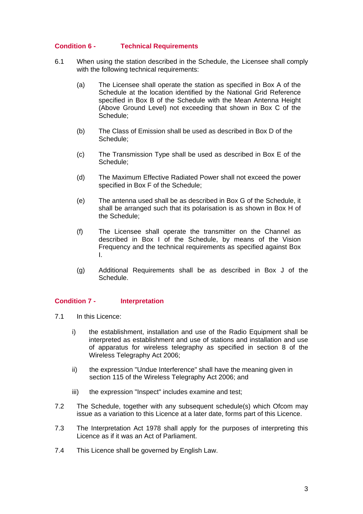#### **Condition 6 - Technical Requirements**

- 6.1 When using the station described in the Schedule, the Licensee shall comply with the following technical requirements:
	- (a) The Licensee shall operate the station as specified in Box A of the Schedule at the location identified by the National Grid Reference specified in Box B of the Schedule with the Mean Antenna Height (Above Ground Level) not exceeding that shown in Box C of the Schedule;
	- (b) The Class of Emission shall be used as described in Box D of the Schedule;
	- (c) The Transmission Type shall be used as described in Box E of the Schedule;
	- (d) The Maximum Effective Radiated Power shall not exceed the power specified in Box F of the Schedule;
	- (e) The antenna used shall be as described in Box G of the Schedule, it shall be arranged such that its polarisation is as shown in Box H of the Schedule;
	- (f) The Licensee shall operate the transmitter on the Channel as described in Box I of the Schedule, by means of the Vision Frequency and the technical requirements as specified against Box I.
	- (g) Additional Requirements shall be as described in Box J of the Schedule.

#### **Condition 7 - Interpretation**

- 7.1 In this Licence:
	- i) the establishment, installation and use of the Radio Equipment shall be interpreted as establishment and use of stations and installation and use of apparatus for wireless telegraphy as specified in section 8 of the Wireless Telegraphy Act 2006;
	- ii) the expression "Undue Interference" shall have the meaning given in section 115 of the Wireless Telegraphy Act 2006; and
	- iii) the expression "Inspect" includes examine and test;
- 7.2The Schedule, together with any subsequent schedule(s) which Ofcom may issue as a variation to this Licence at a later date, forms part of this Licence.
- 7.3 The Interpretation Act 1978 shall apply for the purposes of interpreting this Licence as if it was an Act of Parliament.
- 7.4 This Licence shall be governed by English Law.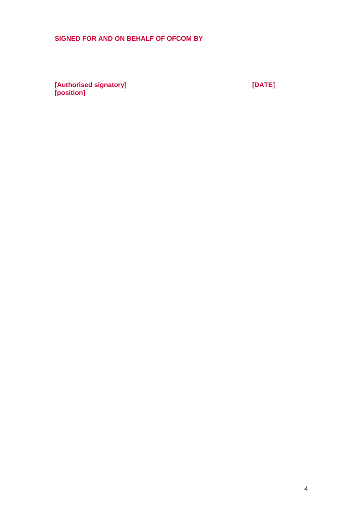## **SIGNED FOR AND ON BEHALF OF OFCOM BY**

**[Authorised signatory] [DATE] [position]**